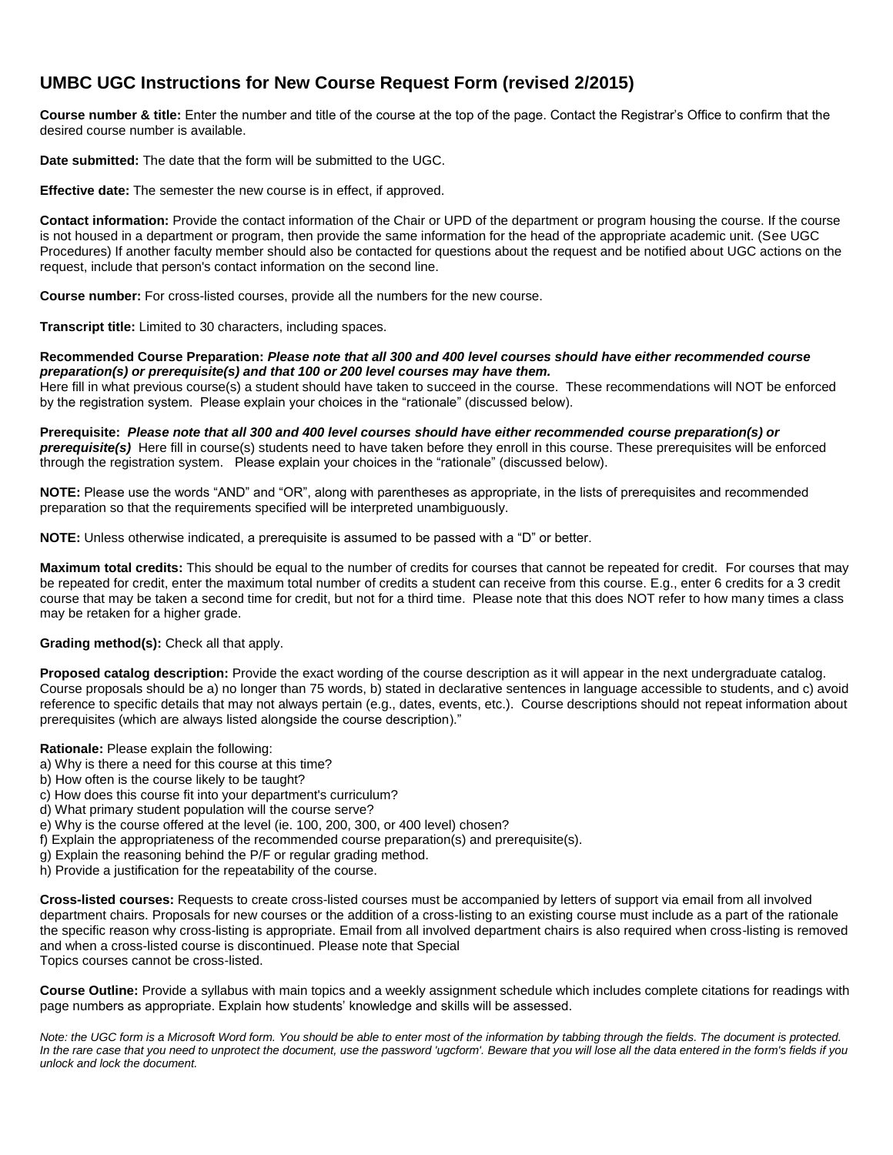# **UMBC UGC Instructions for New Course Request Form (revised 2/2015)**

**Course number & title:** Enter the number and title of the course at the top of the page. Contact the Registrar's Office to confirm that the desired course number is available.

**Date submitted:** The date that the form will be submitted to the UGC.

**Effective date:** The semester the new course is in effect, if approved.

**Contact information:** Provide the contact information of the Chair or UPD of the department or program housing the course. If the course is not housed in a department or program, then provide the same information for the head of the appropriate academic unit. (See UGC Procedures) If another faculty member should also be contacted for questions about the request and be notified about UGC actions on the request, include that person's contact information on the second line.

**Course number:** For cross-listed courses, provide all the numbers for the new course.

**Transcript title:** Limited to 30 characters, including spaces.

**Recommended Course Preparation:** *Please note that all 300 and 400 level courses should have either recommended course preparation(s) or prerequisite(s) and that 100 or 200 level courses may have them.*

Here fill in what previous course(s) a student should have taken to succeed in the course. These recommendations will NOT be enforced by the registration system. Please explain your choices in the "rationale" (discussed below).

**Prerequisite:** *Please note that all 300 and 400 level courses should have either recommended course preparation(s) or prerequisite(s)* Here fill in course(s) students need to have taken before they enroll in this course. These prerequisites will be enforced through the registration system.Please explain your choices in the "rationale" (discussed below).

**NOTE:** Please use the words "AND" and "OR", along with parentheses as appropriate, in the lists of prerequisites and recommended preparation so that the requirements specified will be interpreted unambiguously.

**NOTE:** Unless otherwise indicated, a prerequisite is assumed to be passed with a "D" or better.

**Maximum total credits:** This should be equal to the number of credits for courses that cannot be repeated for credit. For courses that may be repeated for credit, enter the maximum total number of credits a student can receive from this course. E.g., enter 6 credits for a 3 credit course that may be taken a second time for credit, but not for a third time. Please note that this does NOT refer to how many times a class may be retaken for a higher grade.

#### **Grading method(s):** Check all that apply.

**Proposed catalog description:** Provide the exact wording of the course description as it will appear in the next undergraduate catalog. Course proposals should be a) no longer than 75 words, b) stated in declarative sentences in language accessible to students, and c) avoid reference to specific details that may not always pertain (e.g., dates, events, etc.). Course descriptions should not repeat information about prerequisites (which are always listed alongside the course description)."

#### **Rationale:** Please explain the following:

- a) Why is there a need for this course at this time?
- b) How often is the course likely to be taught?
- c) How does this course fit into your department's curriculum?
- d) What primary student population will the course serve?
- e) Why is the course offered at the level (ie. 100, 200, 300, or 400 level) chosen?
- f) Explain the appropriateness of the recommended course preparation(s) and prerequisite(s).
- g) Explain the reasoning behind the P/F or regular grading method.
- h) Provide a justification for the repeatability of the course.

**Cross-listed courses:** Requests to create cross-listed courses must be accompanied by letters of support via email from all involved department chairs. Proposals for new courses or the addition of a cross-listing to an existing course must include as a part of the rationale the specific reason why cross-listing is appropriate. Email from all involved department chairs is also required when cross-listing is removed and when a cross-listed course is discontinued. Please note that Special Topics courses cannot be cross-listed.

**Course Outline:** Provide a syllabus with main topics and a weekly assignment schedule which includes complete citations for readings with page numbers as appropriate. Explain how students' knowledge and skills will be assessed.

*Note: the UGC form is a Microsoft Word form. You should be able to enter most of the information by tabbing through the fields. The document is protected. In the rare case that you need to unprotect the document, use the password 'ugcform'. Beware that you will lose all the data entered in the form's fields if you unlock and lock the document.*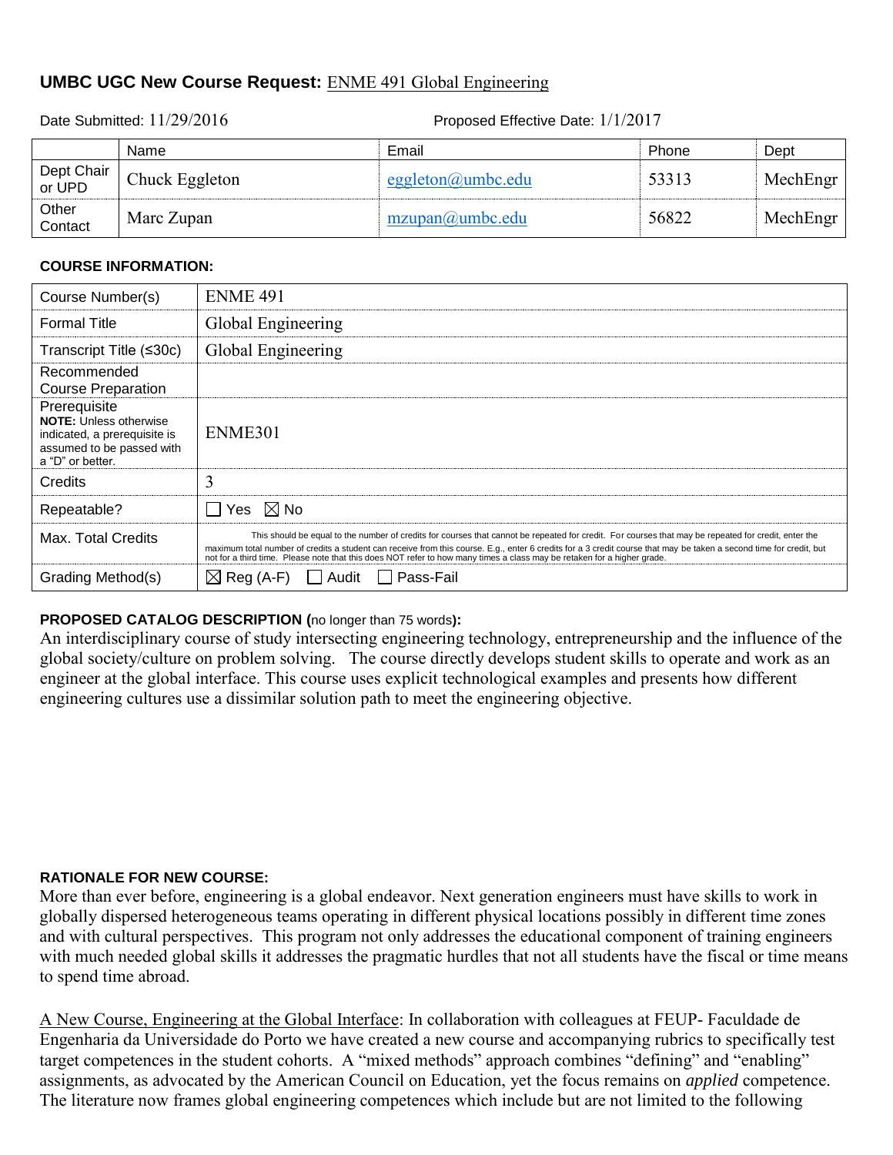## **UMBC UGC New Course Request:** ENME 491 Global Engineering

Date Submitted:  $11/29/2016$  Proposed Effective Date:  $1/1/2017$ 

|                      | Name           | Email                | Phone | Dept     |
|----------------------|----------------|----------------------|-------|----------|
| Dept Chair<br>or UPD | Chuck Eggleton | eggleton@umbc.edu    | 53313 | MechEngr |
| Other<br>Contact     | Marc Zupan     | $mzupan(a)$ umbc.edu | 56822 | MechEngr |

### **COURSE INFORMATION:**

| Course Number(s)                                                                                                               | <b>ENME 491</b>                                                                                                                                                                                                                                                                                                                                                                                                                                        |
|--------------------------------------------------------------------------------------------------------------------------------|--------------------------------------------------------------------------------------------------------------------------------------------------------------------------------------------------------------------------------------------------------------------------------------------------------------------------------------------------------------------------------------------------------------------------------------------------------|
| <b>Formal Title</b>                                                                                                            | Global Engineering                                                                                                                                                                                                                                                                                                                                                                                                                                     |
| Transcript Title (≤30c)                                                                                                        | Global Engineering                                                                                                                                                                                                                                                                                                                                                                                                                                     |
| Recommended<br><b>Course Preparation</b>                                                                                       |                                                                                                                                                                                                                                                                                                                                                                                                                                                        |
| Prerequisite<br><b>NOTE:</b> Unless otherwise<br>indicated, a prerequisite is<br>assumed to be passed with<br>a "D" or better. | ENME301                                                                                                                                                                                                                                                                                                                                                                                                                                                |
| <b>Credits</b>                                                                                                                 | 3                                                                                                                                                                                                                                                                                                                                                                                                                                                      |
| Repeatable?                                                                                                                    | $\boxtimes$ No<br>Yes.                                                                                                                                                                                                                                                                                                                                                                                                                                 |
| Max. Total Credits                                                                                                             | This should be equal to the number of credits for courses that cannot be repeated for credit. For courses that may be repeated for credit, enter the<br>maximum total number of credits a student can receive from this course. E.g., enter 6 credits for a 3 credit course that may be taken a second time for credit, but<br>not for a third time. Please note that this does NOT refer to how many times a class may be retaken for a higher grade. |
| Grading Method(s)                                                                                                              | $\boxtimes$ Reg (A-F)<br>Pass-Fail<br>Audit                                                                                                                                                                                                                                                                                                                                                                                                            |

## **PROPOSED CATALOG DESCRIPTION (**no longer than 75 words**):**

An interdisciplinary course of study intersecting engineering technology, entrepreneurship and the influence of the global society/culture on problem solving. The course directly develops student skills to operate and work as an engineer at the global interface. This course uses explicit technological examples and presents how different engineering cultures use a dissimilar solution path to meet the engineering objective.

### **RATIONALE FOR NEW COURSE:**

More than ever before, engineering is a global endeavor. Next generation engineers must have skills to work in globally dispersed heterogeneous teams operating in different physical locations possibly in different time zones and with cultural perspectives. This program not only addresses the educational component of training engineers with much needed global skills it addresses the pragmatic hurdles that not all students have the fiscal or time means to spend time abroad.

A New Course, Engineering at the Global Interface: In collaboration with colleagues at FEUP- Faculdade de Engenharia da Universidade do Porto we have created a new course and accompanying rubrics to specifically test target competences in the student cohorts. A "mixed methods" approach combines "defining" and "enabling" assignments, as advocated by the American Council on Education, yet the focus remains on *applied* competence. The literature now frames global engineering competences which include but are not limited to the following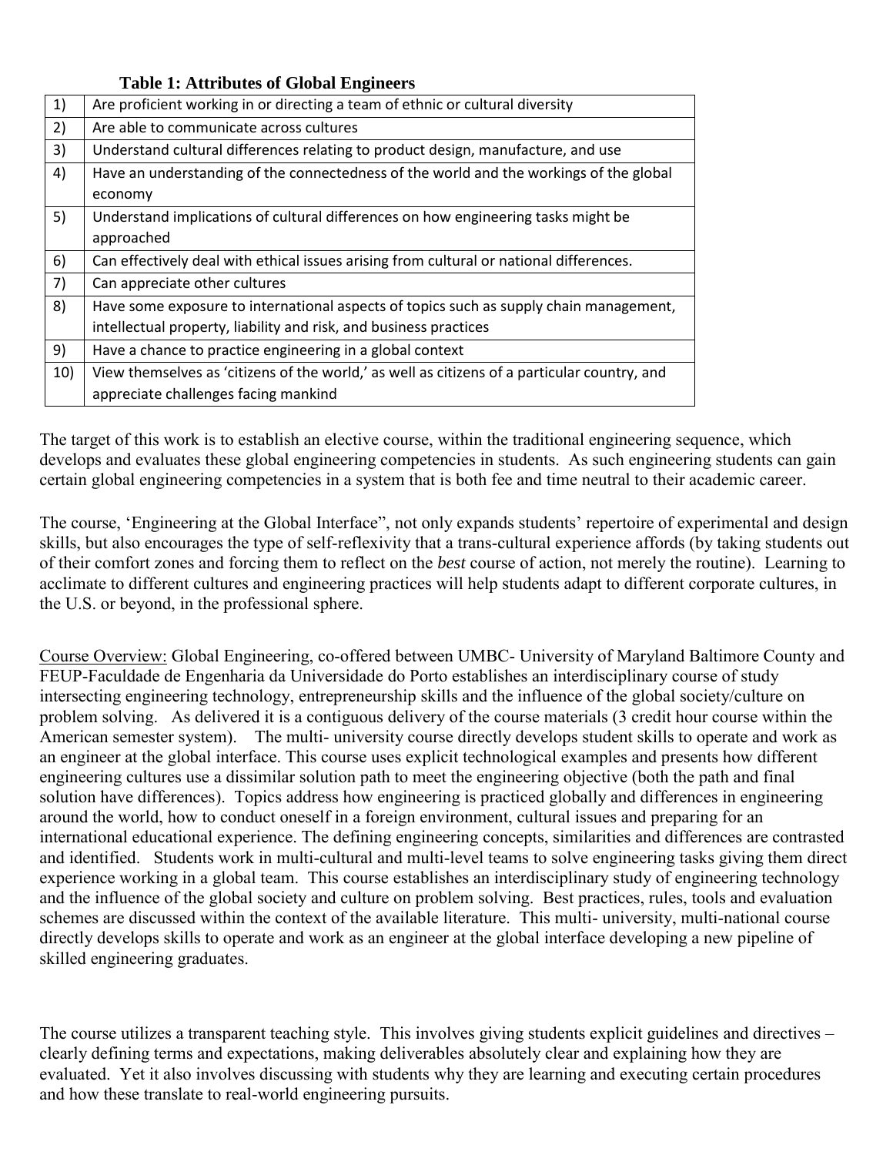**Table 1: Attributes of Global Engineers** 

| 1)  | Are proficient working in or directing a team of ethnic or cultural diversity                |
|-----|----------------------------------------------------------------------------------------------|
| 2)  | Are able to communicate across cultures                                                      |
| 3)  | Understand cultural differences relating to product design, manufacture, and use             |
| 4)  | Have an understanding of the connectedness of the world and the workings of the global       |
|     | economy                                                                                      |
| 5)  | Understand implications of cultural differences on how engineering tasks might be            |
|     | approached                                                                                   |
| 6)  | Can effectively deal with ethical issues arising from cultural or national differences.      |
| 7)  | Can appreciate other cultures                                                                |
| 8)  | Have some exposure to international aspects of topics such as supply chain management,       |
|     | intellectual property, liability and risk, and business practices                            |
| 9)  | Have a chance to practice engineering in a global context                                    |
| 10) | View themselves as 'citizens of the world,' as well as citizens of a particular country, and |
|     | appreciate challenges facing mankind                                                         |

The target of this work is to establish an elective course, within the traditional engineering sequence, which develops and evaluates these global engineering competencies in students. As such engineering students can gain certain global engineering competencies in a system that is both fee and time neutral to their academic career.

The course, 'Engineering at the Global Interface", not only expands students' repertoire of experimental and design skills, but also encourages the type of self-reflexivity that a trans-cultural experience affords (by taking students out of their comfort zones and forcing them to reflect on the *best* course of action, not merely the routine). Learning to acclimate to different cultures and engineering practices will help students adapt to different corporate cultures, in the U.S. or beyond, in the professional sphere.

Course Overview: Global Engineering, co-offered between UMBC- University of Maryland Baltimore County and FEUP-Faculdade de Engenharia da Universidade do Porto establishes an interdisciplinary course of study intersecting engineering technology, entrepreneurship skills and the influence of the global society/culture on problem solving. As delivered it is a contiguous delivery of the course materials (3 credit hour course within the American semester system). The multi- university course directly develops student skills to operate and work as an engineer at the global interface. This course uses explicit technological examples and presents how different engineering cultures use a dissimilar solution path to meet the engineering objective (both the path and final solution have differences). Topics address how engineering is practiced globally and differences in engineering around the world, how to conduct oneself in a foreign environment, cultural issues and preparing for an international educational experience. The defining engineering concepts, similarities and differences are contrasted and identified. Students work in multi-cultural and multi-level teams to solve engineering tasks giving them direct experience working in a global team. This course establishes an interdisciplinary study of engineering technology and the influence of the global society and culture on problem solving. Best practices, rules, tools and evaluation schemes are discussed within the context of the available literature. This multi- university, multi-national course directly develops skills to operate and work as an engineer at the global interface developing a new pipeline of skilled engineering graduates.

The course utilizes a transparent teaching style. This involves giving students explicit guidelines and directives – clearly defining terms and expectations, making deliverables absolutely clear and explaining how they are evaluated. Yet it also involves discussing with students why they are learning and executing certain procedures and how these translate to real-world engineering pursuits.